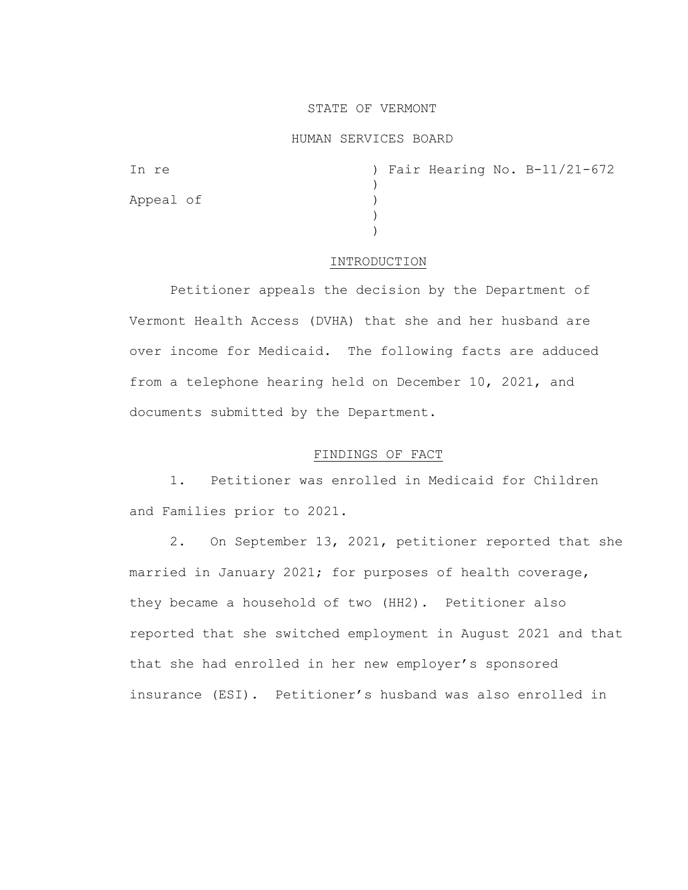# STATE OF VERMONT

#### HUMAN SERVICES BOARD

| In re     |  |  | ) Fair Hearing No. B-11/21-672 |
|-----------|--|--|--------------------------------|
|           |  |  |                                |
| Appeal of |  |  |                                |
|           |  |  |                                |
|           |  |  |                                |

#### INTRODUCTION

Petitioner appeals the decision by the Department of Vermont Health Access (DVHA) that she and her husband are over income for Medicaid. The following facts are adduced from a telephone hearing held on December 10, 2021, and documents submitted by the Department.

### FINDINGS OF FACT

1. Petitioner was enrolled in Medicaid for Children and Families prior to 2021.

2. On September 13, 2021, petitioner reported that she married in January 2021; for purposes of health coverage, they became a household of two (HH2). Petitioner also reported that she switched employment in August 2021 and that that she had enrolled in her new employer's sponsored insurance (ESI). Petitioner's husband was also enrolled in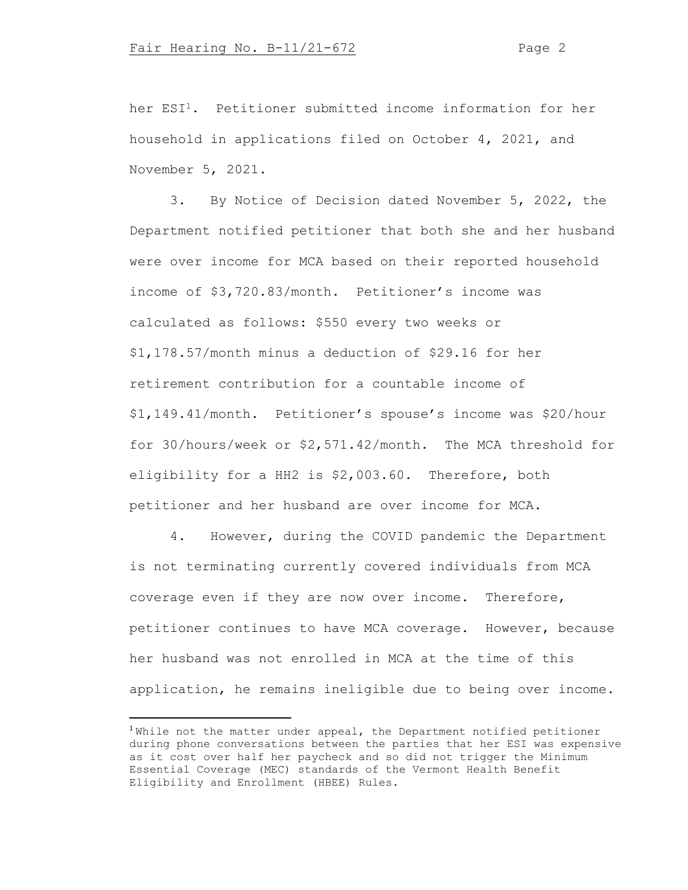her ESI1. Petitioner submitted income information for her household in applications filed on October 4, 2021, and November 5, 2021.

3. By Notice of Decision dated November 5, 2022, the Department notified petitioner that both she and her husband were over income for MCA based on their reported household income of \$3,720.83/month. Petitioner's income was calculated as follows: \$550 every two weeks or \$1,178.57/month minus a deduction of \$29.16 for her retirement contribution for a countable income of \$1,149.41/month. Petitioner's spouse's income was \$20/hour for 30/hours/week or \$2,571.42/month. The MCA threshold for eligibility for a HH2 is \$2,003.60. Therefore, both petitioner and her husband are over income for MCA.

4. However, during the COVID pandemic the Department is not terminating currently covered individuals from MCA coverage even if they are now over income. Therefore, petitioner continues to have MCA coverage. However, because her husband was not enrolled in MCA at the time of this application, he remains ineligible due to being over income.

<sup>&</sup>lt;sup>1</sup>While not the matter under appeal, the Department notified petitioner during phone conversations between the parties that her ESI was expensive as it cost over half her paycheck and so did not trigger the Minimum Essential Coverage (MEC) standards of the Vermont Health Benefit Eligibility and Enrollment (HBEE) Rules.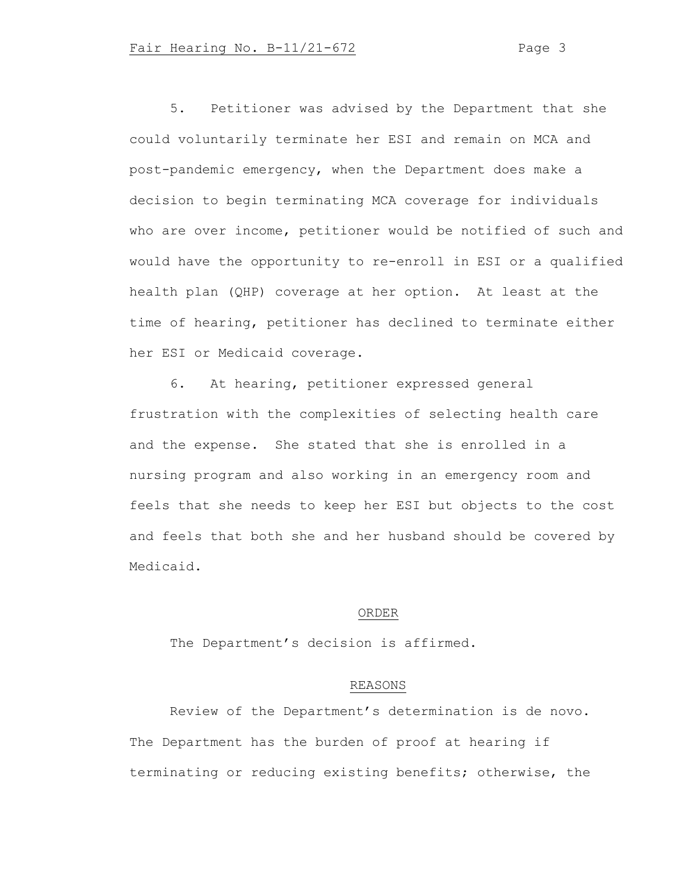5. Petitioner was advised by the Department that she could voluntarily terminate her ESI and remain on MCA and post-pandemic emergency, when the Department does make a decision to begin terminating MCA coverage for individuals who are over income, petitioner would be notified of such and would have the opportunity to re-enroll in ESI or a qualified health plan (QHP) coverage at her option. At least at the time of hearing, petitioner has declined to terminate either her ESI or Medicaid coverage.

6. At hearing, petitioner expressed general frustration with the complexities of selecting health care and the expense. She stated that she is enrolled in a nursing program and also working in an emergency room and feels that she needs to keep her ESI but objects to the cost and feels that both she and her husband should be covered by Medicaid.

### ORDER

The Department's decision is affirmed.

## REASONS

Review of the Department's determination is de novo. The Department has the burden of proof at hearing if terminating or reducing existing benefits; otherwise, the